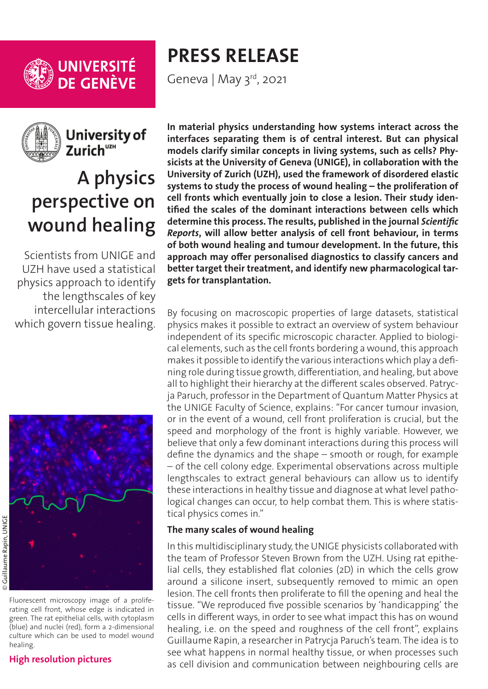

UNIVERSITÉ<br>DE GENÈVE



University of Zurich<sup>uzH</sup>

# **A physics perspective on wound healing**

Scientists from UNIGE and UZH have used a statistical physics approach to identify the lengthscales of key intercellular interactions which govern tissue healing.



# **[High resolution pictures](https://phototheque.unige.ch/documents/facets?newFacet=mot.cle.marc%3DCdP_210427_Paruch&clearFacets=1)**

**PRESS RELEASE**

Geneva | May 3rd, 2021

**In material physics understanding how systems interact across the interfaces separating them is of central interest. But can physical models clarify similar concepts in living systems, such as cells? Physicists at the University of Geneva (UNIGE), in collaboration with the University of Zurich (UZH), used the framework of disordered elastic systems to study the process of wound healing – the proliferation of cell fronts which eventually join to close a lesion. Their study identified the scales of the dominant interactions between cells which determine this process. The results, published in the journal** *Scientific Reports***, will allow better analysis of cell front behaviour, in terms of both wound healing and tumour development. In the future, this approach may offer personalised diagnostics to classify cancers and better target their treatment, and identify new pharmacological targets for transplantation.**

By focusing on macroscopic properties of large datasets, statistical physics makes it possible to extract an overview of system behaviour independent of its specific microscopic character. Applied to biological elements, such as the cell fronts bordering a wound, this approach makes it possible to identify the various interactions which play a defining role during tissue growth, differentiation, and healing, but above all to highlight their hierarchy at the different scales observed. Patrycja Paruch, professor in the Department of Quantum Matter Physics at the UNIGE Faculty of Science, explains: "For cancer tumour invasion, or in the event of a wound, cell front proliferation is crucial, but the speed and morphology of the front is highly variable. However, we believe that only a few dominant interactions during this process will define the dynamics and the shape – smooth or rough, for example – of the cell colony edge. Experimental observations across multiple lengthscales to extract general behaviours can allow us to identify these interactions in healthy tissue and diagnose at what level pathological changes can occur, to help combat them. This is where statistical physics comes in."

# **The many scales of wound healing**

In this multidisciplinary study, the UNIGE physicists collaborated with the team of Professor Steven Brown from the UZH. Using rat epithelial cells, they established flat colonies (2D) in which the cells grow around a silicone insert, subsequently removed to mimic an open lesion. The cell fronts then proliferate to fill the opening and heal the tissue. "We reproduced five possible scenarios by 'handicapping' the cells in different ways, in order to see what impact this has on wound healing, i.e. on the speed and roughness of the cell front", explains Guillaume Rapin, a researcher in Patrycja Paruch's team. The idea is to see what happens in normal healthy tissue, or when processes such as cell division and communication between neighbouring cells are